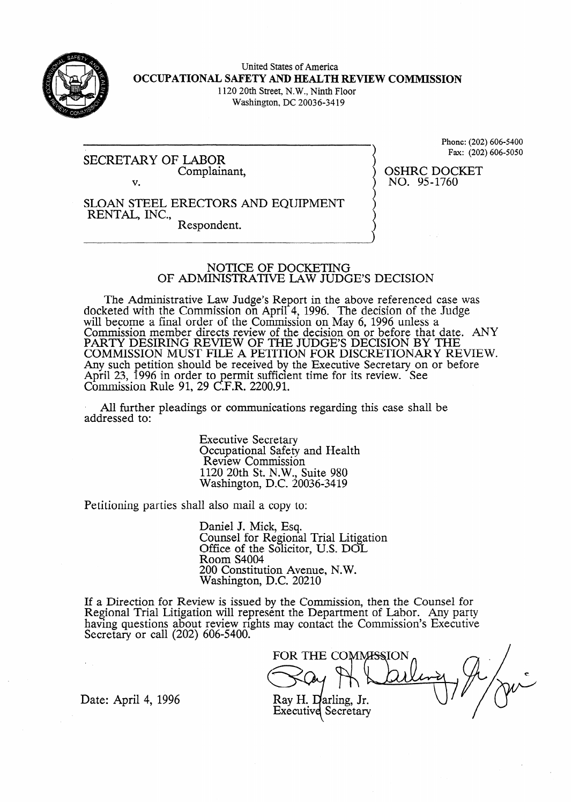

United States of America **OCCUPATIONAL SAFETY AND HEALTH REVIEW COMMISSION**  1120 20th Street, N. W., Ninth Floor Washington, DC 20036-3419

SECRETARY OF LABOR Complainant, v.

Phone: (202) 606-5400 Fax: (202) 606-5050

OSHRC DOCKET NO. 95-1760

### SLOAN STEEL ERECTORS AND EQUIPMENT RENTAL, INC., Respondent.

### NOTICE OF DOCKETING OF ADMINISTRATIVE LAW JUDGE'S DECISION

The Administrative Law Judge's Report in the above referenced case was docketed with the Commission on April 4, 1996. The decision of the Judge will become a final order of the Commission on May 6, 1996 unless a Commission member directs review of the decision on or before that date. ANY PARTY DESIRING REVIEW OF THE JUDGE'S DECISION BY THE COMMISSION MUST FILE A PETITION FOR DISCRETIONARY REVIEW. Any such petition should be received by the Executive Secretary on or before April  $23$ , 1996 in order to  $C_{\cdot}$ ermit sufficient time for its review. See Commission Rule 91, 29 C.F.R. 2200.91.

. All further pleadings or communications regarding this case shall be addressed to:

> Executive Secretary Occupational Safety and Health Review Commission 1120 20th St. N.W., Suite 980 Washington, D.C. 20036-3419

Petitioning parties shall also mail a copy to:

Daniel J. Mick, Esq. Counsel for Regional Trial Litigation Office of the Solicitor, U.S. DOL Room S4004 200 Constitution Avenue, N. W. Washington, D.C. 20210

If a Direction for Review is issued by the Commission, then the Counsel for Regional Trial Litigation will represent the Department of Labor. Any party having questions about review rights may contact the Commission's Executive Secretary or call (202) 606-5400.

FOR THE COMMISSION Ray H. Darling, Jr. **Executive Secretary** 

Date: April 4, 1996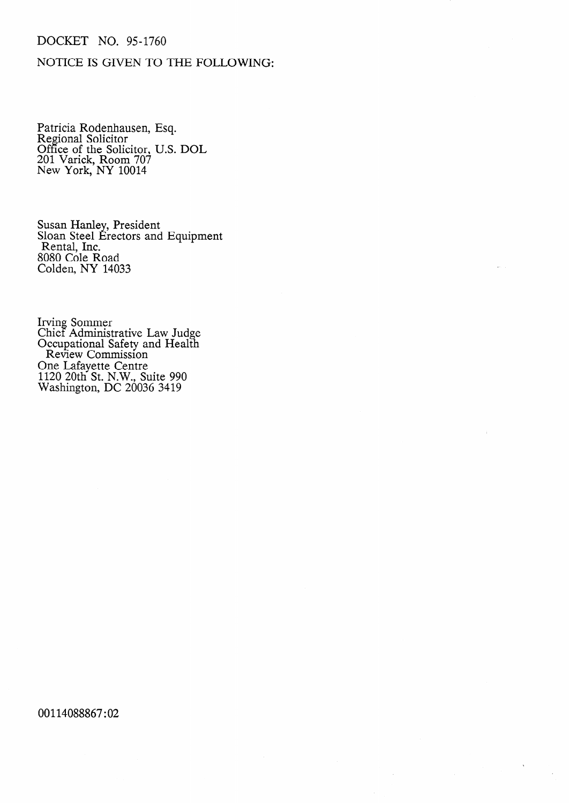## DOCKET NO. 95-1760

# NOTICE IS GIVEN TO THE FOLLOWING:

Patricia Rodenhausen, Esq. Regional Solicitor Office of the Solicitor, U.S. DOL 201 Varick, Room 707 New York, NY 10014

Susan Hanley, Presiden Sloan Steel B Rental, Inc. rectors and Equipmen 8080 Cole Road Colden, NY 14033

Irving Sommer Chief Administrative Law Judge Occupational Safety and Health Review Commission One Lafayette Centre 1120 20th St. N.W., Suite 990 Washington, DC 20036 3419

00114088867 : 02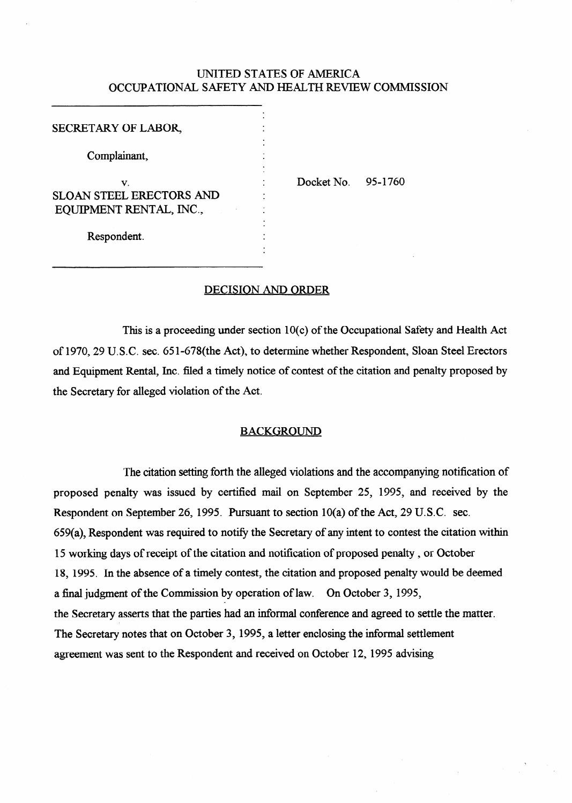## UNITED STATES OF AMERICA OCCUPATIONAL SAFETY AND HEALTH REVIEW COMMISSION

.

.

**.** 

### SECRETARY OF LABOR,

Complainant, .

**V.**  SLOAN STEEL ERECTORS AND EQUIPMENT RENTAL, INC.,

Docket No. 95-1760

Respondent. .

### DECISION AND ORDER

.

This is a proceeding under section 10(c) of the Occupational Safety and Health Act of 1970,29 U.S.C. sec. 651=678(the Act), to determine whether Respondent, Sloan Steel Erectors and Equipment Rental, Inc. filed a timely notice of contest of the citation and penalty proposed by the Secretary for alleged violation of the Act.

### BACKGROUND

The citation setting forth the alleged violations and the accompanying notification of proposed penalty was issued by certified mail on September 25, 1995, and received by the Respondent on September 26, 1995. Pursuant to section 10(a) of the Act, 29 U.S.C. sec. 659(a), Respondent was required to notify the Secretary of any intent to contest the citation within 15 working days of receipt of the citation and notification of proposed penalty, or October 18, 1995. In the absence of a timely contest, the citation and proposed penalty would be deemed a final judgment of the Commission by operation of law. On October 3, 1995, the Secretary asserts that the parties had an informal conference and agreed to settle the matter. The Secretary notes that on October 3, 1995, a letter enclosing the informal settlement agreement was sent to the Respondent and received on October 12, 1995 advising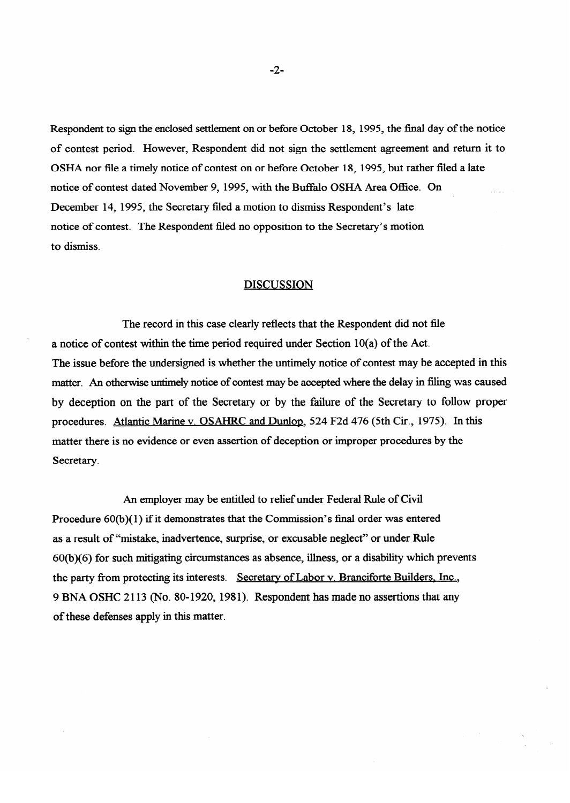Respondent to sign the enclosed settlement on or before October 18, 1995, the final day of the notice of contest period. However, Respondent did not sign the settlement agreement and return it to OSHA nor file a timely notice of contest on or before October 18, 1995, but rather filed a late notice of contest dated November 9, 1995, with the Buffalo OSHA Area Office. On<br>December 14, 1995, the Secretary filed a motion to dismiss Respondent's late December 14, 1995, the Secretary filed a motion to dismiss Respondent's late notice of contest. The Respondent filed no opposition to the Secretary's motion

### **DISCUSSION**

The record in this case clearly reflects that the Respondent did not file a notice of contest within the time period required under Section  $10(a)$  of the Act. The issue before the undersigned is whether the untimely notice of contest may be accepted in this matter. An otherwise untimely notice of contest may be accepted where the delay in filing was caused by deception on the part of the Secretary or by the failure of the Secretary to follow proper procedures. Atlantic Marine v. OSAHRC and Dunlop, 524 F2d 476 (5th Cir., 1975). In this matter there is no evidence or even assertion of deception or improper procedures by the Secretary.

An employer may be entitled to relief under Federal Rule of Civil Procedure  $60(b)(1)$  if it demonstrates that the Commission's final order was entered as a result of "mistake, inadvertence, surprise, or excusable neglect" or under Rule 60(b)(6) for such mitigating circumstances as absence, illness, or a disability which prevents the party from protecting its interests. Secretary of Labor v. Branciforte Builders, Inc., 9 BNA OSHC 2113 (No. 80-1920, 1981). Respondent has made no assertions that any of these defenses apply in this matter.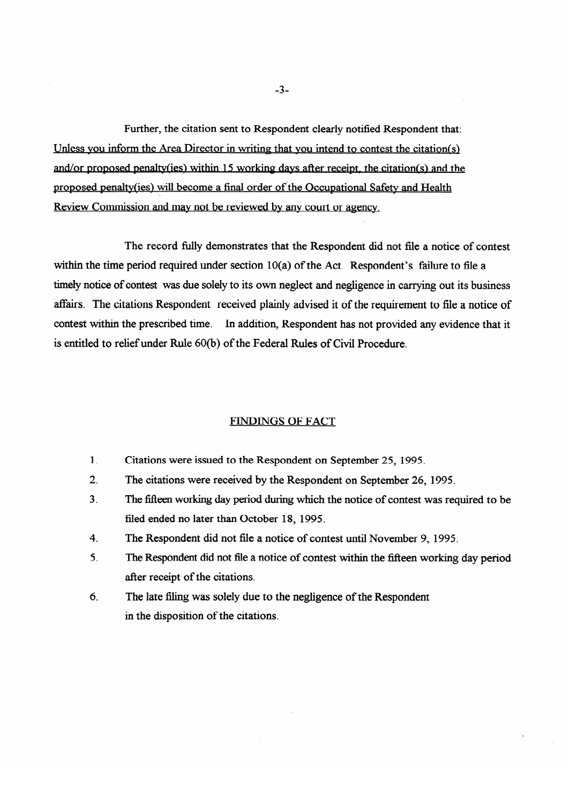Further, the citation sent to Respondent clearly notified Respondent that: Unless you inform the Area Director in writing that you intend to contest the citation(s) and/or proposed penalty(ies) within 15 working davs after receipt, the citation(s) and the proposed penalty(ies) will become a final order of the Occupational Safety and Health Review Commission and may not be reviewed by any court or agency.

The record fully demonstrates that the Respondent did not file a notice of contest<br>within the time period required under section 10(a) of the Act. Respondent's failure to file a timely notice of contest was due solely to its own neglect and negligence in carrying out its business affairs. The citations Respondent received plainly advised it of the requirement to file a notice of contest within the prescribed time. In addition, Respondent has not provided any evidence that it is entitled to relief under Rule 60(b) of the Federal Rules of Civil Procedure.

### **FINDINGS OF FACT**

- Citations were issued to the Respondent on September 25, 1995.  $\mathbf{1}$ .
- $2.$ The citations were received by the Respondent on September 26, 1995.
- $3<sub>l</sub>$ The fifteen working day period during which the notice of contest was required to be filed ended no later than October 18, 1995.
- The Respondent did not file a notice of contest until November 9, 1995.  $\overline{4}$ .
- $5<sub>1</sub>$ The Respondent did not file a notice of contest within the fifteen working day period after receipt of the citations.
- 6. The late filing was solely due to the negligence of the Respondent in the disposition of the citations.